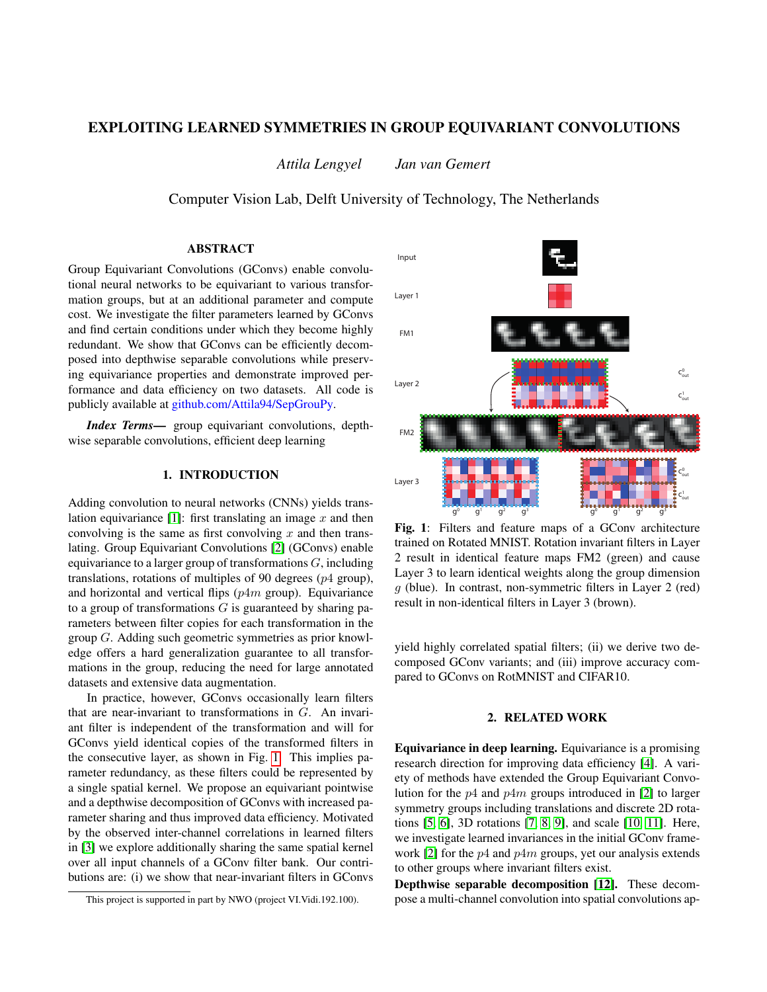# EXPLOITING LEARNED SYMMETRIES IN GROUP EQUIVARIANT CONVOLUTIONS

*Attila Lengyel Jan van Gemert*

Computer Vision Lab, Delft University of Technology, The Netherlands

## ABSTRACT

Group Equivariant Convolutions (GConvs) enable convolutional neural networks to be equivariant to various transformation groups, but at an additional parameter and compute cost. We investigate the filter parameters learned by GConvs and find certain conditions under which they become highly redundant. We show that GConvs can be efficiently decomposed into depthwise separable convolutions while preserving equivariance properties and demonstrate improved performance and data efficiency on two datasets. All code is publicly available at github.com/Attila94/SepGrouPy.

*Index Terms*— group equivariant convolutions, depthwise separable convolutions, efficient deep learning

# 1. INTRODUCTION

Adding convolution to neural networks (CNNs) yields trans-lation equivariance [\[1\]](#page-4-0): first translating an image  $x$  and then convolving is the same as first convolving  $x$  and then translating. Group Equivariant Convolutions [\[2\]](#page-4-1) (GConvs) enable equivariance to a larger group of transformations  $G$ , including translations, rotations of multiples of 90 degrees  $(p4 \text{ group})$ , and horizontal and vertical flips  $(p4m)$  group). Equivariance to a group of transformations  $G$  is guaranteed by sharing parameters between filter copies for each transformation in the group G. Adding such geometric symmetries as prior knowledge offers a hard generalization guarantee to all transformations in the group, reducing the need for large annotated datasets and extensive data augmentation.

In practice, however, GConvs occasionally learn filters that are near-invariant to transformations in G. An invariant filter is independent of the transformation and will for GConvs yield identical copies of the transformed filters in the consecutive layer, as shown in Fig. [1.](#page-0-0) This implies parameter redundancy, as these filters could be represented by a single spatial kernel. We propose an equivariant pointwise and a depthwise decomposition of GConvs with increased parameter sharing and thus improved data efficiency. Motivated by the observed inter-channel correlations in learned filters in [\[3\]](#page-4-2) we explore additionally sharing the same spatial kernel over all input channels of a GConv filter bank. Our contributions are: (i) we show that near-invariant filters in GConvs

<span id="page-0-0"></span>

Fig. 1: Filters and feature maps of a GConv architecture trained on Rotated MNIST. Rotation invariant filters in Layer 2 result in identical feature maps FM2 (green) and cause Layer 3 to learn identical weights along the group dimension  $q$  (blue). In contrast, non-symmetric filters in Layer 2 (red) result in non-identical filters in Layer 3 (brown).

yield highly correlated spatial filters; (ii) we derive two decomposed GConv variants; and (iii) improve accuracy compared to GConvs on RotMNIST and CIFAR10.

## 2. RELATED WORK

Equivariance in deep learning. Equivariance is a promising research direction for improving data efficiency [\[4\]](#page-4-3). A variety of methods have extended the Group Equivariant Convolution for the  $p4$  and  $p4m$  groups introduced in [\[2\]](#page-4-1) to larger symmetry groups including translations and discrete 2D rotations [\[5,](#page-4-4) [6\]](#page-4-5), 3D rotations [\[7,](#page-4-6) [8,](#page-4-7) [9\]](#page-4-8), and scale [\[10,](#page-4-9) [11\]](#page-4-10). Here, we investigate learned invariances in the initial GConv frame-work [\[2\]](#page-4-1) for the  $p4$  and  $p4m$  groups, yet our analysis extends to other groups where invariant filters exist.

Depthwise separable decomposition [\[12\]](#page-4-11). These decompose a multi-channel convolution into spatial convolutions ap-

This project is supported in part by NWO (project VI.Vidi.192.100).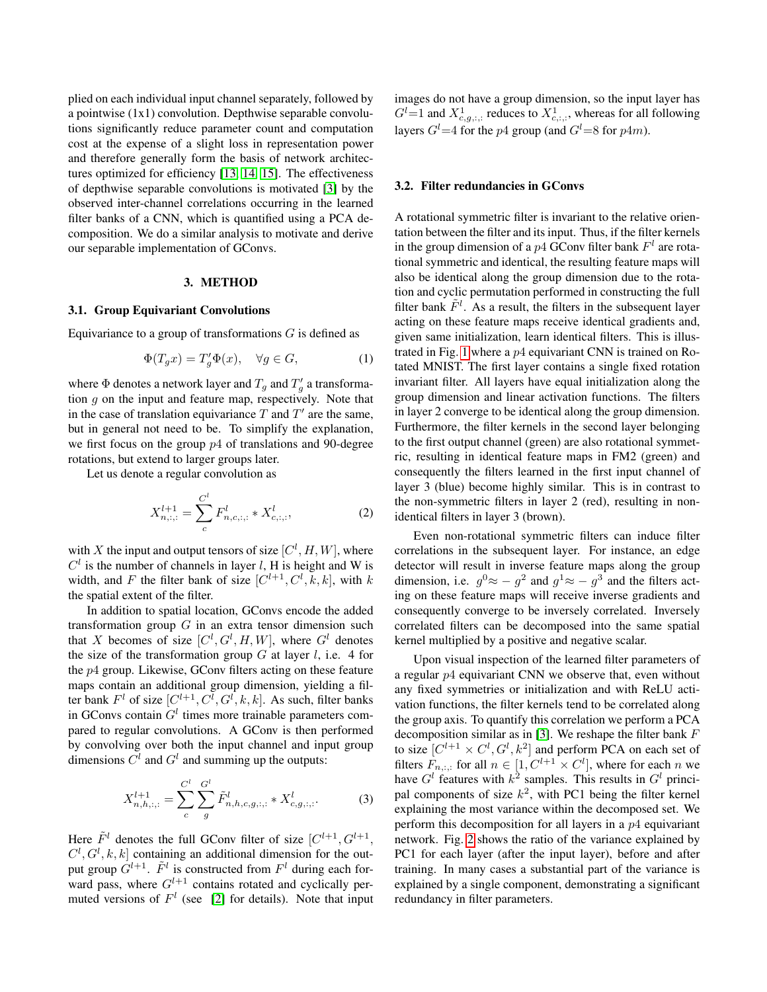plied on each individual input channel separately, followed by a pointwise (1x1) convolution. Depthwise separable convolutions significantly reduce parameter count and computation cost at the expense of a slight loss in representation power and therefore generally form the basis of network architectures optimized for efficiency [\[13,](#page-4-12) [14,](#page-4-13) [15\]](#page-4-14). The effectiveness of depthwise separable convolutions is motivated [\[3\]](#page-4-2) by the observed inter-channel correlations occurring in the learned filter banks of a CNN, which is quantified using a PCA decomposition. We do a similar analysis to motivate and derive our separable implementation of GConvs.

### 3. METHOD

#### 3.1. Group Equivariant Convolutions

Equivariance to a group of transformations  $G$  is defined as

$$
\Phi(T_g x) = T'_g \Phi(x), \quad \forall g \in G,\tag{1}
$$

where  $\Phi$  denotes a network layer and  $T_g$  and  $T'_g$  a transformation  $g$  on the input and feature map, respectively. Note that in the case of translation equivariance  $T$  and  $T'$  are the same, but in general not need to be. To simplify the explanation, we first focus on the group  $p4$  of translations and 90-degree rotations, but extend to larger groups later.

Let us denote a regular convolution as

$$
X_{n,:,:}^{l+1} = \sum_{c}^{C^l} F_{n,c,:,:}^l * X_{c,:,:}^l,
$$
 (2)

with X the input and output tensors of size  $[C^l, H, W]$ , where  $C<sup>l</sup>$  is the number of channels in layer l, H is height and W is width, and F the filter bank of size  $[C^{l+1}, C^l, k, k]$ , with k the spatial extent of the filter.

In addition to spatial location, GConvs encode the added transformation group  $G$  in an extra tensor dimension such that X becomes of size  $[C^l, G^l, H, W]$ , where  $G^l$  denotes the size of the transformation group  $G$  at layer  $l$ , i.e. 4 for the p4 group. Likewise, GConv filters acting on these feature maps contain an additional group dimension, yielding a filter bank  $F^l$  of size  $[C^{l+1}, C^l, G^l, k, k]$ . As such, filter banks in GConvs contain  $G<sup>l</sup>$  times more trainable parameters compared to regular convolutions. A GConv is then performed by convolving over both the input channel and input group dimensions  $C^l$  and  $G^l$  and summing up the outputs:

$$
X_{n,h,:,:}^{l+1} = \sum_{c}^{C^{l}} \sum_{g}^{G^{l}} \tilde{F}_{n,h,c,g,:,:}^{l} * X_{c,g,:,:}^{l}.
$$
 (3)

Here  $\tilde{F}^l$  denotes the full GConv filter of size  $[C^{l+1}, G^{l+1}, G]$  $C^l, G^l, k, k]$  containing an additional dimension for the output group  $G^{l+1}$ .  $\tilde{F}^l$  is constructed from  $F^l$  during each forward pass, where  $G^{l+1}$  contains rotated and cyclically permuted versions of  $F<sup>l</sup>$  (see [\[2\]](#page-4-1) for details). Note that input images do not have a group dimension, so the input layer has  $G^{l}=1$  and  $X^{1}_{c,g,:,:}$  reduces to  $X^{1}_{c,:,:}$ , whereas for all following layers  $G^{l}=4$  for the p4 group (and  $G^{l}=8$  for p4m).

## 3.2. Filter redundancies in GConvs

A rotational symmetric filter is invariant to the relative orientation between the filter and its input. Thus, if the filter kernels in the group dimension of a  $p4$  GConv filter bank  $F<sup>l</sup>$  are rotational symmetric and identical, the resulting feature maps will also be identical along the group dimension due to the rotation and cyclic permutation performed in constructing the full filter bank  $\tilde{F}^l$ . As a result, the filters in the subsequent layer acting on these feature maps receive identical gradients and, given same initialization, learn identical filters. This is illus-trated in Fig. [1](#page-0-0) where a  $p4$  equivariant CNN is trained on Rotated MNIST. The first layer contains a single fixed rotation invariant filter. All layers have equal initialization along the group dimension and linear activation functions. The filters in layer 2 converge to be identical along the group dimension. Furthermore, the filter kernels in the second layer belonging to the first output channel (green) are also rotational symmetric, resulting in identical feature maps in FM2 (green) and consequently the filters learned in the first input channel of layer 3 (blue) become highly similar. This is in contrast to the non-symmetric filters in layer 2 (red), resulting in nonidentical filters in layer 3 (brown).

Even non-rotational symmetric filters can induce filter correlations in the subsequent layer. For instance, an edge detector will result in inverse feature maps along the group dimension, i.e.  $g^0 \approx -g^2$  and  $g^1 \approx -g^3$  and the filters acting on these feature maps will receive inverse gradients and consequently converge to be inversely correlated. Inversely correlated filters can be decomposed into the same spatial kernel multiplied by a positive and negative scalar.

<span id="page-1-0"></span>Upon visual inspection of the learned filter parameters of a regular p4 equivariant CNN we observe that, even without any fixed symmetries or initialization and with ReLU activation functions, the filter kernels tend to be correlated along the group axis. To quantify this correlation we perform a PCA decomposition similar as in [\[3\]](#page-4-2). We reshape the filter bank F to size  $[C^{l+1} \times C^l, G^l, k^2]$  and perform PCA on each set of filters  $F_{n,:,:}$  for all  $n \in [1, C^{l+1} \times C^l]$ , where for each n we have  $G<sup>l</sup>$  features with  $k<sup>2</sup>$  samples. This results in  $G<sup>l</sup>$  principal components of size  $k^2$ , with PC1 being the filter kernel explaining the most variance within the decomposed set. We perform this decomposition for all layers in a  $p4$  equivariant network. Fig. [2](#page-2-0) shows the ratio of the variance explained by PC1 for each layer (after the input layer), before and after training. In many cases a substantial part of the variance is explained by a single component, demonstrating a significant redundancy in filter parameters.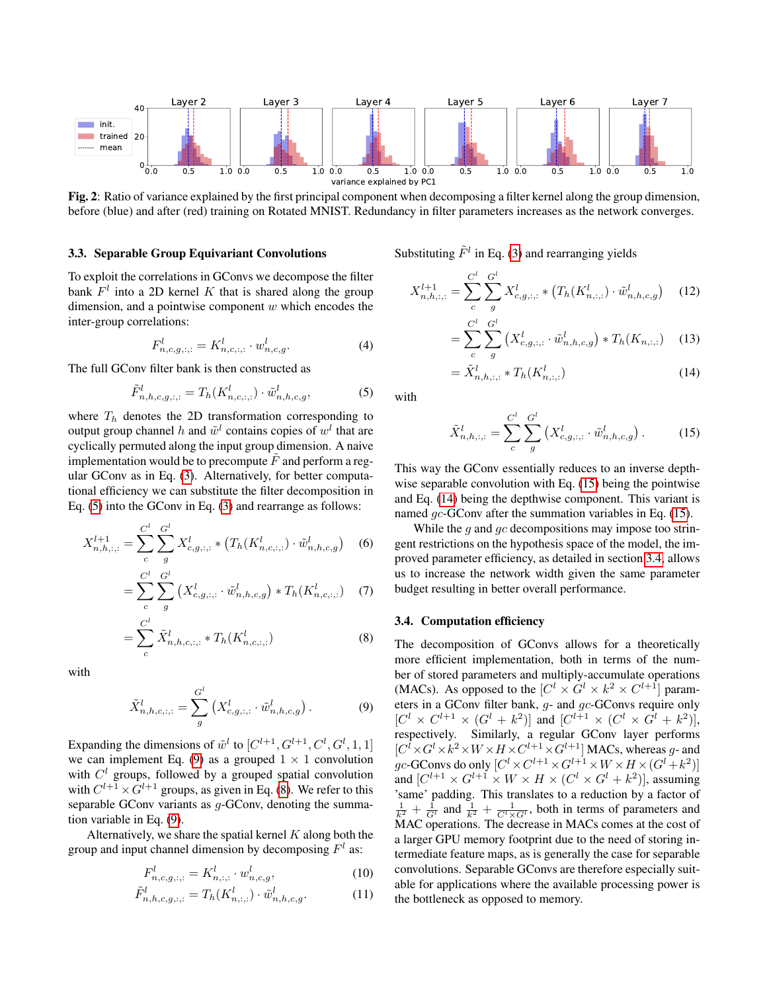<span id="page-2-0"></span>

Fig. 2: Ratio of variance explained by the first principal component when decomposing a filter kernel along the group dimension, before (blue) and after (red) training on Rotated MNIST. Redundancy in filter parameters increases as the network converges.

#### 3.3. Separable Group Equivariant Convolutions

To exploit the correlations in GConvs we decompose the filter bank  $F<sup>l</sup>$  into a 2D kernel K that is shared along the group dimension, and a pointwise component  $w$  which encodes the inter-group correlations:

$$
F_{n,c,g;;;}^{l} = K_{n,c;;;}^{l} \cdot w_{n,c,g}^{l}.
$$
 (4)

The full GConv filter bank is then constructed as

$$
\tilde{F}_{n,h,c,g;;,:}^{l} = T_h(K_{n,c,:,:}^{l}) \cdot \tilde{w}_{n,h,c,g}^{l},\tag{5}
$$

where  $T_h$  denotes the 2D transformation corresponding to output group channel h and  $\tilde{w}^l$  contains copies of  $w^l$  that are cyclically permuted along the input group dimension. A naive implementation would be to precompute  $F$  and perform a regular GConv as in Eq. [\(3\)](#page-1-0). Alternatively, for better computational efficiency we can substitute the filter decomposition in Eq. [\(5\)](#page-2-1) into the GConv in Eq. [\(3\)](#page-1-0) and rearrange as follows:

$$
X_{n,h,:,:}^{l+1} = \sum_{c}^{C^l} \sum_{g}^{G^l} X_{c,g,:,:}^l * \left( T_h(K_{n,c,:,:}^l) \cdot \tilde{w}_{n,h,c,g}^l \right) \tag{6}
$$

$$
= \sum_{c}^{C^{l}} \sum_{g}^{G^{l}} \left( X_{c,g,:,:}^{l} \cdot \tilde{w}_{n,h,c,g}^{l} \right) * T_{h}(K_{n,c,:,:}^{l}) \quad (7)
$$

$$
= \sum_{c}^{C^{l}} \tilde{X}_{n,h,c,:,:}^{l} * T_{h}(K_{n,c,:,:}^{l})
$$
\n(8)

with

$$
\tilde{X}_{n,h,c,:,:}^l = \sum_g^{G^l} \left( X_{c,g,:,:}^l \cdot \tilde{w}_{n,h,c,g}^l \right). \tag{9}
$$

Expanding the dimensions of  $\tilde{w}^l$  to  $[C^{l+1}, G^{l+1}, C^l, G^l, 1, 1]$ we can implement Eq. [\(9\)](#page-2-2) as a grouped  $1 \times 1$  convolution with  $C<sup>l</sup>$  groups, followed by a grouped spatial convolution with  $C^{l+1} \times G^{l+1}$  groups, as given in Eq. [\(8\)](#page-2-3). We refer to this separable GConv variants as  $q$ -GConv, denoting the summation variable in Eq. [\(9\)](#page-2-2).

Alternatively, we share the spatial kernel  $K$  along both the group and input channel dimension by decomposing  $F<sup>l</sup>$  as:

$$
F_{n,c,g,:,:}^{l} = K_{n,:,:}^{l} \cdot w_{n,c,g}^{l}, \qquad (10)
$$

$$
\tilde{F}_{n,h,c,g;;,:}^{l} = T_h(K_{n,:,:}^{l}) \cdot \tilde{w}_{n,h,c,g}^{l}.
$$
\n(11)

Substituting  $\tilde{F}^l$  in Eq. [\(3\)](#page-1-0) and rearranging yields

$$
X_{n,h,:,:}^{l+1} = \sum_{c}^{C^{l}} \sum_{g}^{G^{l}} X_{c,g,:,:}^{l} * (T_{h}(K_{n,:,:}^{l}) \cdot \tilde{w}_{n,h,c,g}^{l}) \tag{12}
$$

$$
= \sum_{c}^{C^{l}} \sum_{g}^{G^{l}} \left( X_{c,g;;;}^{l} \cdot \tilde{w}_{n,h,c,g}^{l} \right) * T_{h}(K_{n,:;}) \quad (13)
$$

<span id="page-2-5"></span>
$$
= \tilde{X}_{n,h; \, ; \, :}^{l} * T_{h}(K_{n, \, ; \, :}^{l}) \tag{14}
$$

<span id="page-2-1"></span>with

<span id="page-2-4"></span>
$$
\tilde{X}_{n,h,:,:}^l = \sum_{c}^{C^l} \sum_{g}^{G^l} \left( X_{c,g,:,:}^l \cdot \tilde{w}_{n,h,c,g}^l \right). \tag{15}
$$

This way the GConv essentially reduces to an inverse depth-wise separable convolution with Eq. [\(15\)](#page-2-4) being the pointwise and Eq. [\(14\)](#page-2-5) being the depthwise component. This variant is named *qc*-GConv after the summation variables in Eq. [\(15\)](#page-2-4).

While the q and  $qc$  decompositions may impose too stringent restrictions on the hypothesis space of the model, the improved parameter efficiency, as detailed in section [3.4,](#page-2-6) allows us to increase the network width given the same parameter budget resulting in better overall performance.

#### <span id="page-2-6"></span><span id="page-2-3"></span>3.4. Computation efficiency

<span id="page-2-2"></span>The decomposition of GConvs allows for a theoretically more efficient implementation, both in terms of the number of stored parameters and multiply-accumulate operations (MACs). As opposed to the  $[C^l \times G^l \times k^2 \times C^{l+1}]$  parameters in a GConv filter bank, g- and gc-GConvs require only  $[C^{l} \times C^{l+1} \times (G^{l} + k^{2})]$  and  $[C^{l+1} \times (C^{l} \times G^{l} + k^{2})],$ respectively. Similarly, a regular GConv layer performs  $[C^l \times G^l \times k^2 \times W \times H \times C^{l+1} \times G^{l+1}]$  MACs, whereas g- and  $gc$ -GConvs do only  $[C^l \times C^{l+1} \times G^{l+1} \times W \times H \times (G^l+k^2)]$ and  $[C^{l+1} \times G^{l+1} \times W \times H \times (C^l \times G^l + k^2)]$ , assuming 'same' padding. This translates to a reduction by a factor of  $\frac{1}{k^2} + \frac{1}{G^l}$  and  $\frac{1}{k^2} + \frac{1}{C^l \times G^l}$ , both in terms of parameters and MAC operations. The decrease in MACs comes at the cost of a larger GPU memory footprint due to the need of storing intermediate feature maps, as is generally the case for separable convolutions. Separable GConvs are therefore especially suitable for applications where the available processing power is the bottleneck as opposed to memory.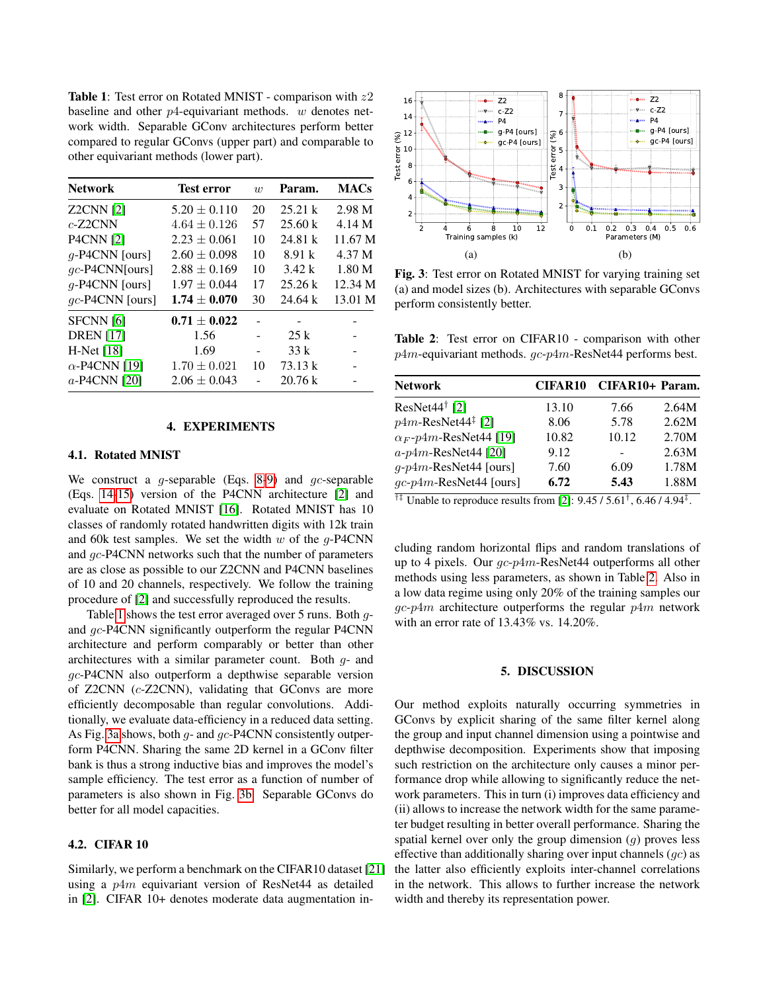<span id="page-3-0"></span>Table 1: Test error on Rotated MNIST - comparison with  $z2$ baseline and other  $p$ 4-equivariant methods. w denotes network width. Separable GConv architectures perform better compared to regular GConvs (upper part) and comparable to other equivariant methods (lower part).

| <b>Network</b>       | Test error       | w  | Param.  | <b>MACs</b>       |
|----------------------|------------------|----|---------|-------------------|
| <b>Z2CNN</b> [2]     | $5.20 \pm 0.110$ | 20 | 25.21 k | 2.98 M            |
| $c$ -Z2CNN           | $4.64 \pm 0.126$ | 57 | 25.60 k | 4.14 M            |
| <b>P4CNN</b> [2]     | $2.23 \pm 0.061$ | 10 | 24.81 k | 11.67 M           |
| $q$ -P4CNN [ours]    | $2.60 \pm 0.098$ | 10 | 8.91 k  | 4.37 M            |
| $gc$ -P4CNN[ours]    | $2.88 \pm 0.169$ | 10 | 3.42 k  | 1.80 <sub>M</sub> |
| $q$ -P4CNN [ours]    | $1.97 \pm 0.044$ | 17 | 25.26k  | 12.34 M           |
| gc-P4CNN [ours]      | $1.74 \pm 0.070$ | 30 | 24.64k  | 13.01 M           |
| SFCNN [6]            | $0.71 \pm 0.022$ |    |         |                   |
| <b>DREN</b> [17]     | 1.56             |    | 25k     |                   |
| $H-Met [18]$         | 1.69             |    | 33k     |                   |
| $\alpha$ -P4CNN [19] | $1.70 \pm 0.021$ | 10 | 73.13 k |                   |
| a-P4CNN [20]         | $2.06 \pm 0.043$ |    | 20.76 k |                   |

#### 4. EXPERIMENTS

#### 4.1. Rotated MNIST

We construct a  $g$ -separable (Eqs. [8](#page-2-3)[-9\)](#page-2-2) and  $gc$ -separable (Eqs. [14](#page-2-5)[-15\)](#page-2-4) version of the P4CNN architecture [\[2\]](#page-4-1) and evaluate on Rotated MNIST [\[16\]](#page-4-19). Rotated MNIST has 10 classes of randomly rotated handwritten digits with 12k train and 60k test samples. We set the width  $w$  of the  $q$ -P4CNN and gc-P4CNN networks such that the number of parameters are as close as possible to our Z2CNN and P4CNN baselines of 10 and 20 channels, respectively. We follow the training procedure of [\[2\]](#page-4-1) and successfully reproduced the results.

Table [1](#page-3-0) shows the test error averaged over 5 runs. Both *q*and gc-P4CNN significantly outperform the regular P4CNN architecture and perform comparably or better than other architectures with a similar parameter count. Both  $q$ - and gc-P4CNN also outperform a depthwise separable version of Z2CNN (c-Z2CNN), validating that GConvs are more efficiently decomposable than regular convolutions. Additionally, we evaluate data-efficiency in a reduced data setting. As Fig. [3a](#page-3-1) shows, both g- and gc-P4CNN consistently outperform P4CNN. Sharing the same 2D kernel in a GConv filter bank is thus a strong inductive bias and improves the model's sample efficiency. The test error as a function of number of parameters is also shown in Fig. [3b.](#page-3-1) Separable GConvs do better for all model capacities.

#### 4.2. CIFAR 10

Similarly, we perform a benchmark on the CIFAR10 dataset [\[21\]](#page-4-20) using a p4m equivariant version of ResNet44 as detailed in [\[2\]](#page-4-1). CIFAR 10+ denotes moderate data augmentation in-

<span id="page-3-1"></span>

Fig. 3: Test error on Rotated MNIST for varying training set (a) and model sizes (b). Architectures with separable GConvs perform consistently better.

<span id="page-3-2"></span>Table 2: Test error on CIFAR10 - comparison with other  $p4m$ -equivariant methods.  $qc$ - $p4m$ -ResNet44 performs best.

| <b>Network</b>                    | <b>CIFAR10</b> | CIFAR10+ Param. |       |
|-----------------------------------|----------------|-----------------|-------|
| $ResNet44^{\dagger}$ [2]          | 13.10          | 7.66            | 2.64M |
| $p4m$ -ResNet $44^{\ddagger}$ [2] | 8.06           | 5.78            | 2.62M |
| $\alpha_F$ -p4m-ResNet44 [19]     | 10.82          | 10.12           | 2.70M |
| $a-p4m$ -ResNet44 [20]            | 9.12           |                 | 2.63M |
| $q$ -p4m-ResNet44 [ours]          | 7.60           | 6.09            | 1.78M |
| $gc-p4m$ -ResNet44 [ours]         | 6.72           | 5.43            | 1.88M |

<sup>†‡</sup> Unable to reproduce results from [\[2\]](#page-4-1):  $9.45 / 5.61^{\dagger}$ , 6.46 / 4.94<sup>‡</sup>.

cluding random horizontal flips and random translations of up to 4 pixels. Our gc-p4m-ResNet44 outperforms all other methods using less parameters, as shown in Table [2.](#page-3-2) Also in a low data regime using only 20% of the training samples our  $qc$ -p4m architecture outperforms the regular p4m network with an error rate of 13.43% vs. 14.20%.

#### 5. DISCUSSION

Our method exploits naturally occurring symmetries in GConvs by explicit sharing of the same filter kernel along the group and input channel dimension using a pointwise and depthwise decomposition. Experiments show that imposing such restriction on the architecture only causes a minor performance drop while allowing to significantly reduce the network parameters. This in turn (i) improves data efficiency and (ii) allows to increase the network width for the same parameter budget resulting in better overall performance. Sharing the spatial kernel over only the group dimension  $(q)$  proves less effective than additionally sharing over input channels  $(gc)$  as the latter also efficiently exploits inter-channel correlations in the network. This allows to further increase the network width and thereby its representation power.